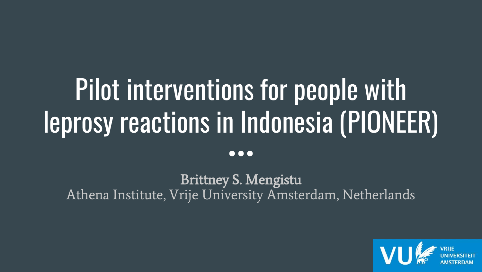# Pilot interventions for people with leprosy reactions in Indonesia (PIONEER)

Brittney S. Mengistu Athena Institute, Vrije University Amsterdam, Netherlands

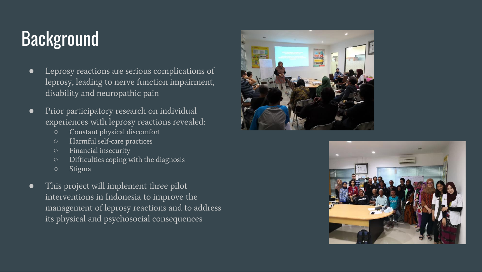## **Background**

- Leprosy reactions are serious complications of leprosy, leading to nerve function impairment, disability and neuropathic pain
- Prior participatory research on individual experiences with leprosy reactions revealed:
	- Constant physical discomfort
	- Harmful self-care practices
	- Financial insecurity
	- Difficulties coping with the diagnosis
	- Stigma
- This project will implement three pilot interventions in Indonesia to improve the management of leprosy reactions and to address its physical and psychosocial consequences



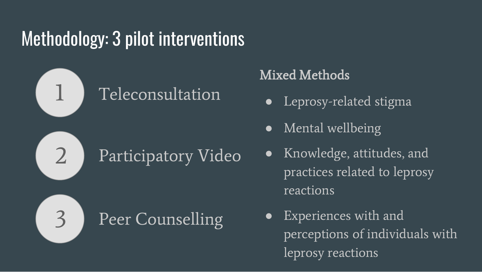## Methodology: 3 pilot interventions



### Mixed Methods

- Leprosy-related stigma
- Mental wellbeing
- Knowledge, attitudes, and practices related to leprosy reactions
- Experiences with and perceptions of individuals with leprosy reactions